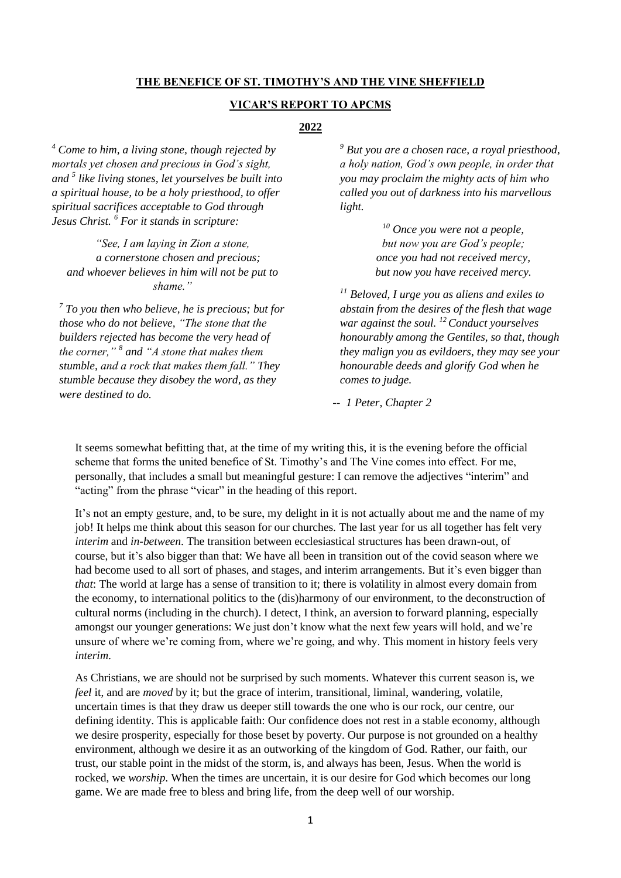#### **THE BENEFICE OF ST. TIMOTHY'S AND THE VINE SHEFFIELD**

#### **VICAR'S REPORT TO APCMS**

# **2022**

*<sup>4</sup> Come to him, a living stone, though rejected by mortals yet chosen and precious in God's sight, and <sup>5</sup> like living stones, let yourselves be built into a spiritual house, to be a holy priesthood, to offer spiritual sacrifices acceptable to God through Jesus Christ. <sup>6</sup> For it stands in scripture:*

*"See, I am laying in Zion a stone, a cornerstone chosen and precious; and whoever believes in him will not be put to shame."*

*<sup>7</sup> To you then who believe, he is precious; but for those who do not believe, "The stone that the builders rejected has become the very head of the corner," <sup>8</sup> and "A stone that makes them stumble, and a rock that makes them fall." They stumble because they disobey the word, as they were destined to do.*

*<sup>9</sup> But you are a chosen race, a royal priesthood, a holy nation, God's own people, in order that you may proclaim the mighty acts of him who called you out of darkness into his marvellous light.*

> *<sup>10</sup> Once you were not a people, but now you are God's people; once you had not received mercy, but now you have received mercy.*

*<sup>11</sup> Beloved, I urge you as aliens and exiles to abstain from the desires of the flesh that wage war against the soul. <sup>12</sup>Conduct yourselves honourably among the Gentiles, so that, though they malign you as evildoers, they may see your honourable deeds and glorify God when he comes to judge.*

*-- 1 Peter, Chapter 2*

It seems somewhat befitting that, at the time of my writing this, it is the evening before the official scheme that forms the united benefice of St. Timothy's and The Vine comes into effect. For me, personally, that includes a small but meaningful gesture: I can remove the adjectives "interim" and "acting" from the phrase "vicar" in the heading of this report.

It's not an empty gesture, and, to be sure, my delight in it is not actually about me and the name of my job! It helps me think about this season for our churches. The last year for us all together has felt very *interim* and *in-between*. The transition between ecclesiastical structures has been drawn-out, of course, but it's also bigger than that: We have all been in transition out of the covid season where we had become used to all sort of phases, and stages, and interim arrangements. But it's even bigger than *that*: The world at large has a sense of transition to it; there is volatility in almost every domain from the economy, to international politics to the (dis)harmony of our environment, to the deconstruction of cultural norms (including in the church). I detect, I think, an aversion to forward planning, especially amongst our younger generations: We just don't know what the next few years will hold, and we're unsure of where we're coming from, where we're going, and why. This moment in history feels very *interim*.

As Christians, we are should not be surprised by such moments. Whatever this current season is, we *feel* it, and are *moved* by it; but the grace of interim, transitional, liminal, wandering, volatile, uncertain times is that they draw us deeper still towards the one who is our rock, our centre, our defining identity. This is applicable faith: Our confidence does not rest in a stable economy, although we desire prosperity, especially for those beset by poverty. Our purpose is not grounded on a healthy environment, although we desire it as an outworking of the kingdom of God. Rather, our faith, our trust, our stable point in the midst of the storm, is, and always has been, Jesus. When the world is rocked, we *worship*. When the times are uncertain, it is our desire for God which becomes our long game. We are made free to bless and bring life, from the deep well of our worship.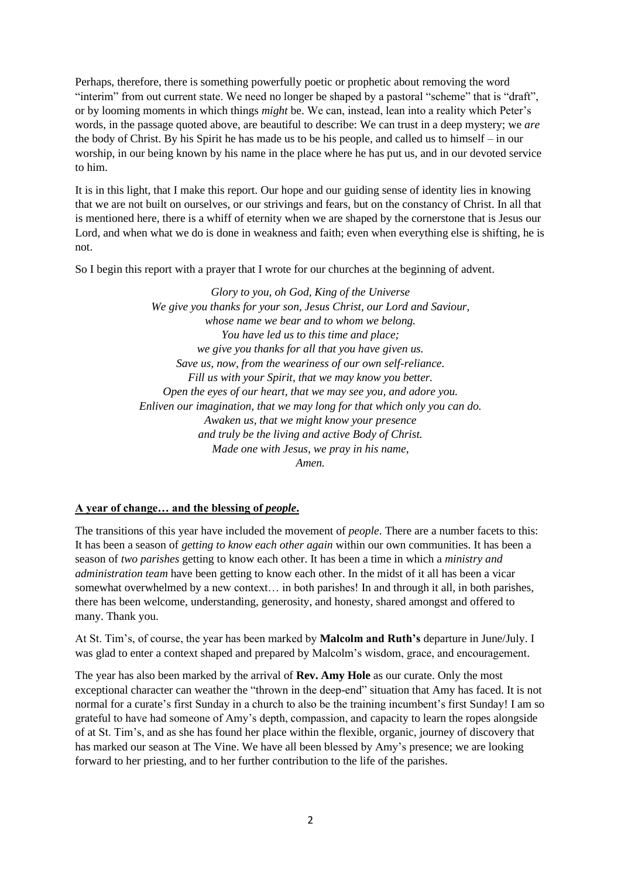Perhaps, therefore, there is something powerfully poetic or prophetic about removing the word "interim" from out current state. We need no longer be shaped by a pastoral "scheme" that is "draft", or by looming moments in which things *might* be. We can, instead, lean into a reality which Peter's words, in the passage quoted above, are beautiful to describe: We can trust in a deep mystery; we *are*  the body of Christ. By his Spirit he has made us to be his people, and called us to himself – in our worship, in our being known by his name in the place where he has put us, and in our devoted service to him.

It is in this light, that I make this report. Our hope and our guiding sense of identity lies in knowing that we are not built on ourselves, or our strivings and fears, but on the constancy of Christ. In all that is mentioned here, there is a whiff of eternity when we are shaped by the cornerstone that is Jesus our Lord, and when what we do is done in weakness and faith; even when everything else is shifting, he is not.

So I begin this report with a prayer that I wrote for our churches at the beginning of advent.

*Glory to you, oh God, King of the Universe We give you thanks for your son, Jesus Christ, our Lord and Saviour, whose name we bear and to whom we belong. You have led us to this time and place; we give you thanks for all that you have given us. Save us, now, from the weariness of our own self-reliance. Fill us with your Spirit, that we may know you better. Open the eyes of our heart, that we may see you, and adore you. Enliven our imagination, that we may long for that which only you can do. Awaken us, that we might know your presence and truly be the living and active Body of Christ. Made one with Jesus, we pray in his name, Amen.*

### **A year of change… and the blessing of** *people***.**

The transitions of this year have included the movement of *people*. There are a number facets to this: It has been a season of *getting to know each other again* within our own communities. It has been a season of *two parishes* getting to know each other. It has been a time in which a *ministry and administration team* have been getting to know each other. In the midst of it all has been a vicar somewhat overwhelmed by a new context... in both parishes! In and through it all, in both parishes, there has been welcome, understanding, generosity, and honesty, shared amongst and offered to many. Thank you.

At St. Tim's, of course, the year has been marked by **Malcolm and Ruth's** departure in June/July. I was glad to enter a context shaped and prepared by Malcolm's wisdom, grace, and encouragement.

The year has also been marked by the arrival of **Rev. Amy Hole** as our curate. Only the most exceptional character can weather the "thrown in the deep-end" situation that Amy has faced. It is not normal for a curate's first Sunday in a church to also be the training incumbent's first Sunday! I am so grateful to have had someone of Amy's depth, compassion, and capacity to learn the ropes alongside of at St. Tim's, and as she has found her place within the flexible, organic, journey of discovery that has marked our season at The Vine. We have all been blessed by Amy's presence; we are looking forward to her priesting, and to her further contribution to the life of the parishes.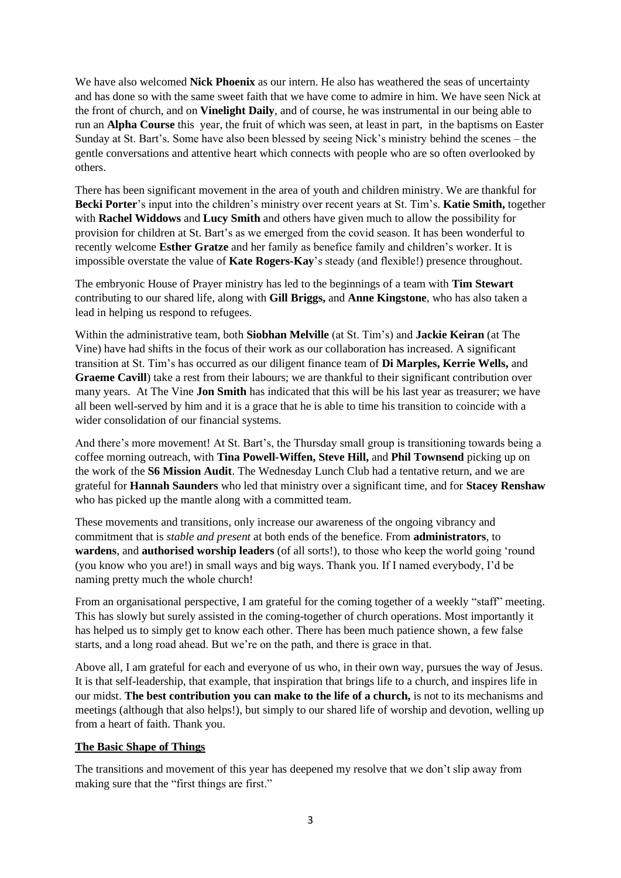We have also welcomed **Nick Phoenix** as our intern. He also has weathered the seas of uncertainty and has done so with the same sweet faith that we have come to admire in him. We have seen Nick at the front of church, and on **Vinelight Daily**, and of course, he was instrumental in our being able to run an **Alpha Course** this year, the fruit of which was seen, at least in part, in the baptisms on Easter Sunday at St. Bart's. Some have also been blessed by seeing Nick's ministry behind the scenes – the gentle conversations and attentive heart which connects with people who are so often overlooked by others.

There has been significant movement in the area of youth and children ministry. We are thankful for **Becki Porter**'s input into the children's ministry over recent years at St. Tim's. **Katie Smith,** together with **Rachel Widdows** and **Lucy Smith** and others have given much to allow the possibility for provision for children at St. Bart's as we emerged from the covid season. It has been wonderful to recently welcome **Esther Gratze** and her family as benefice family and children's worker. It is impossible overstate the value of **Kate Rogers-Kay**'s steady (and flexible!) presence throughout.

The embryonic House of Prayer ministry has led to the beginnings of a team with **Tim Stewart**  contributing to our shared life, along with **Gill Briggs,** and **Anne Kingstone**, who has also taken a lead in helping us respond to refugees.

Within the administrative team, both **Siobhan Melville** (at St. Tim's) and **Jackie Keiran** (at The Vine) have had shifts in the focus of their work as our collaboration has increased. A significant transition at St. Tim's has occurred as our diligent finance team of **Di Marples, Kerrie Wells,** and **Graeme Cavill**) take a rest from their labours; we are thankful to their significant contribution over many years. At The Vine **Jon Smith** has indicated that this will be his last year as treasurer; we have all been well-served by him and it is a grace that he is able to time his transition to coincide with a wider consolidation of our financial systems.

And there's more movement! At St. Bart's, the Thursday small group is transitioning towards being a coffee morning outreach, with **Tina Powell-Wiffen, Steve Hill,** and **Phil Townsend** picking up on the work of the **S6 Mission Audit**. The Wednesday Lunch Club had a tentative return, and we are grateful for **Hannah Saunders** who led that ministry over a significant time, and for **Stacey Renshaw** who has picked up the mantle along with a committed team.

These movements and transitions, only increase our awareness of the ongoing vibrancy and commitment that is *stable and present* at both ends of the benefice. From **administrators**, to **wardens**, and **authorised worship leaders** (of all sorts!), to those who keep the world going 'round (you know who you are!) in small ways and big ways. Thank you. If I named everybody, I'd be naming pretty much the whole church!

From an organisational perspective, I am grateful for the coming together of a weekly "staff" meeting. This has slowly but surely assisted in the coming-together of church operations. Most importantly it has helped us to simply get to know each other. There has been much patience shown, a few false starts, and a long road ahead. But we're on the path, and there is grace in that.

Above all, I am grateful for each and everyone of us who, in their own way, pursues the way of Jesus. It is that self-leadership, that example, that inspiration that brings life to a church, and inspires life in our midst. **The best contribution you can make to the life of a church,** is not to its mechanisms and meetings (although that also helps!), but simply to our shared life of worship and devotion, welling up from a heart of faith. Thank you.

### **The Basic Shape of Things**

The transitions and movement of this year has deepened my resolve that we don't slip away from making sure that the "first things are first."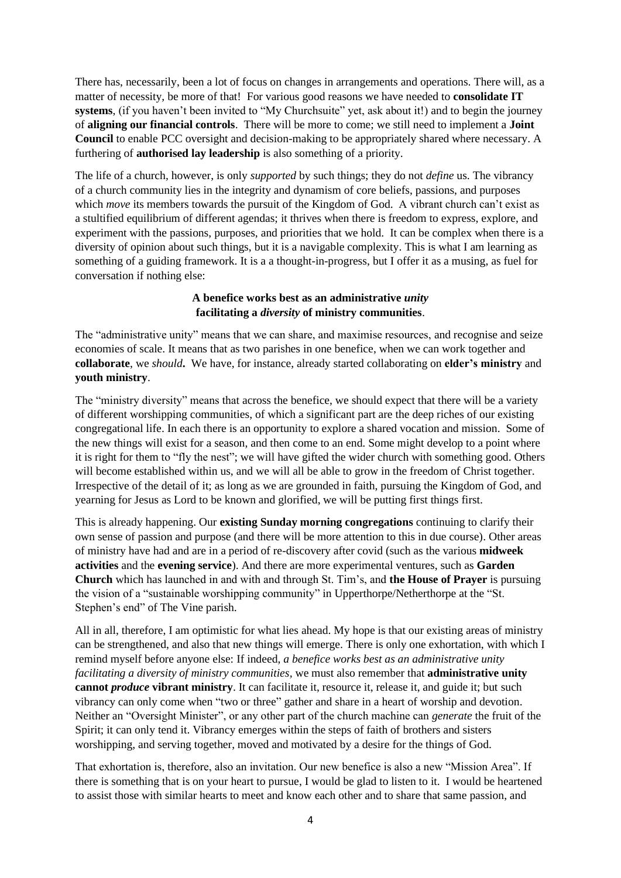There has, necessarily, been a lot of focus on changes in arrangements and operations. There will, as a matter of necessity, be more of that! For various good reasons we have needed to **consolidate IT systems**, (if you haven't been invited to "My Churchsuite" yet, ask about it!) and to begin the journey of **aligning our financial controls**. There will be more to come; we still need to implement a **Joint Council** to enable PCC oversight and decision-making to be appropriately shared where necessary. A furthering of **authorised lay leadership** is also something of a priority.

The life of a church, however, is only *supported* by such things; they do not *define* us. The vibrancy of a church community lies in the integrity and dynamism of core beliefs, passions, and purposes which *move* its members towards the pursuit of the Kingdom of God. A vibrant church can't exist as a stultified equilibrium of different agendas; it thrives when there is freedom to express, explore, and experiment with the passions, purposes, and priorities that we hold. It can be complex when there is a diversity of opinion about such things, but it is a navigable complexity. This is what I am learning as something of a guiding framework. It is a a thought-in-progress, but I offer it as a musing, as fuel for conversation if nothing else:

### **A benefice works best as an administrative** *unity* **facilitating a** *diversity* **of ministry communities**.

The "administrative unity" means that we can share, and maximise resources, and recognise and seize economies of scale. It means that as two parishes in one benefice, when we can work together and **collaborate**, we *should***.** We have, for instance, already started collaborating on **elder's ministry** and **youth ministry**.

The "ministry diversity" means that across the benefice, we should expect that there will be a variety of different worshipping communities, of which a significant part are the deep riches of our existing congregational life. In each there is an opportunity to explore a shared vocation and mission. Some of the new things will exist for a season, and then come to an end. Some might develop to a point where it is right for them to "fly the nest"; we will have gifted the wider church with something good. Others will become established within us, and we will all be able to grow in the freedom of Christ together. Irrespective of the detail of it; as long as we are grounded in faith, pursuing the Kingdom of God, and yearning for Jesus as Lord to be known and glorified, we will be putting first things first.

This is already happening. Our **existing Sunday morning congregations** continuing to clarify their own sense of passion and purpose (and there will be more attention to this in due course). Other areas of ministry have had and are in a period of re-discovery after covid (such as the various **midweek activities** and the **evening service**). And there are more experimental ventures, such as **Garden Church** which has launched in and with and through St. Tim's, and **the House of Prayer** is pursuing the vision of a "sustainable worshipping community" in Upperthorpe/Netherthorpe at the "St. Stephen's end" of The Vine parish.

All in all, therefore, I am optimistic for what lies ahead. My hope is that our existing areas of ministry can be strengthened, and also that new things will emerge. There is only one exhortation, with which I remind myself before anyone else: If indeed, *a benefice works best as an administrative unity facilitating a diversity of ministry communities,* we must also remember that **administrative unity cannot** *produce* **vibrant ministry**. It can facilitate it, resource it, release it, and guide it; but such vibrancy can only come when "two or three" gather and share in a heart of worship and devotion. Neither an "Oversight Minister", or any other part of the church machine can *generate* the fruit of the Spirit; it can only tend it. Vibrancy emerges within the steps of faith of brothers and sisters worshipping, and serving together, moved and motivated by a desire for the things of God.

That exhortation is, therefore, also an invitation. Our new benefice is also a new "Mission Area". If there is something that is on your heart to pursue, I would be glad to listen to it. I would be heartened to assist those with similar hearts to meet and know each other and to share that same passion, and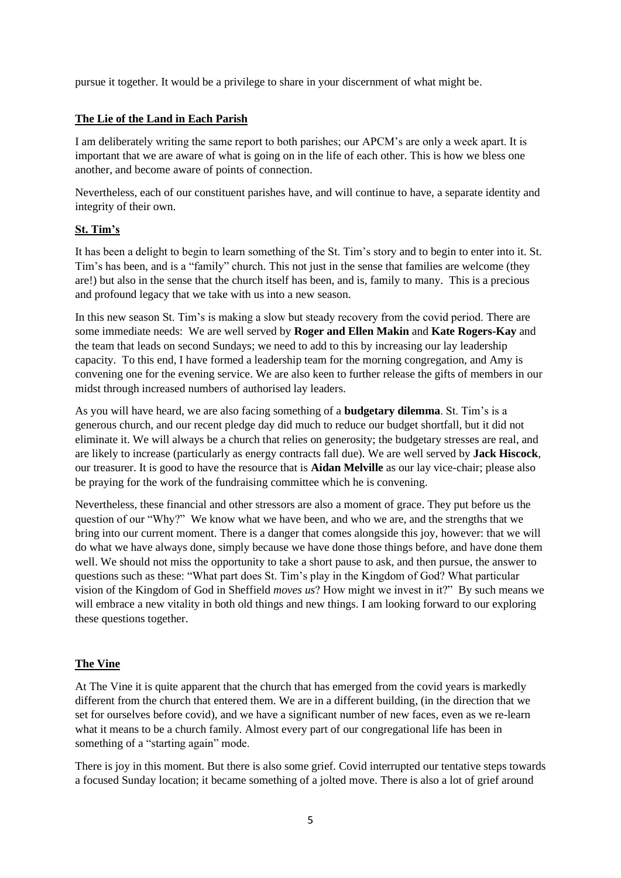pursue it together. It would be a privilege to share in your discernment of what might be.

### **The Lie of the Land in Each Parish**

I am deliberately writing the same report to both parishes; our APCM's are only a week apart. It is important that we are aware of what is going on in the life of each other. This is how we bless one another, and become aware of points of connection.

Nevertheless, each of our constituent parishes have, and will continue to have, a separate identity and integrity of their own.

### **St. Tim's**

It has been a delight to begin to learn something of the St. Tim's story and to begin to enter into it. St. Tim's has been, and is a "family" church. This not just in the sense that families are welcome (they are!) but also in the sense that the church itself has been, and is, family to many. This is a precious and profound legacy that we take with us into a new season.

In this new season St. Tim's is making a slow but steady recovery from the covid period. There are some immediate needs: We are well served by **Roger and Ellen Makin** and **Kate Rogers-Kay** and the team that leads on second Sundays; we need to add to this by increasing our lay leadership capacity. To this end, I have formed a leadership team for the morning congregation, and Amy is convening one for the evening service. We are also keen to further release the gifts of members in our midst through increased numbers of authorised lay leaders.

As you will have heard, we are also facing something of a **budgetary dilemma**. St. Tim's is a generous church, and our recent pledge day did much to reduce our budget shortfall, but it did not eliminate it. We will always be a church that relies on generosity; the budgetary stresses are real, and are likely to increase (particularly as energy contracts fall due). We are well served by **Jack Hiscock**, our treasurer. It is good to have the resource that is **Aidan Melville** as our lay vice-chair; please also be praying for the work of the fundraising committee which he is convening.

Nevertheless, these financial and other stressors are also a moment of grace. They put before us the question of our "Why?" We know what we have been, and who we are, and the strengths that we bring into our current moment. There is a danger that comes alongside this joy, however: that we will do what we have always done, simply because we have done those things before, and have done them well. We should not miss the opportunity to take a short pause to ask, and then pursue, the answer to questions such as these: "What part does St. Tim's play in the Kingdom of God? What particular vision of the Kingdom of God in Sheffield *moves us*? How might we invest in it?" By such means we will embrace a new vitality in both old things and new things. I am looking forward to our exploring these questions together.

# **The Vine**

At The Vine it is quite apparent that the church that has emerged from the covid years is markedly different from the church that entered them. We are in a different building, (in the direction that we set for ourselves before covid), and we have a significant number of new faces, even as we re-learn what it means to be a church family. Almost every part of our congregational life has been in something of a "starting again" mode.

There is joy in this moment. But there is also some grief. Covid interrupted our tentative steps towards a focused Sunday location; it became something of a jolted move. There is also a lot of grief around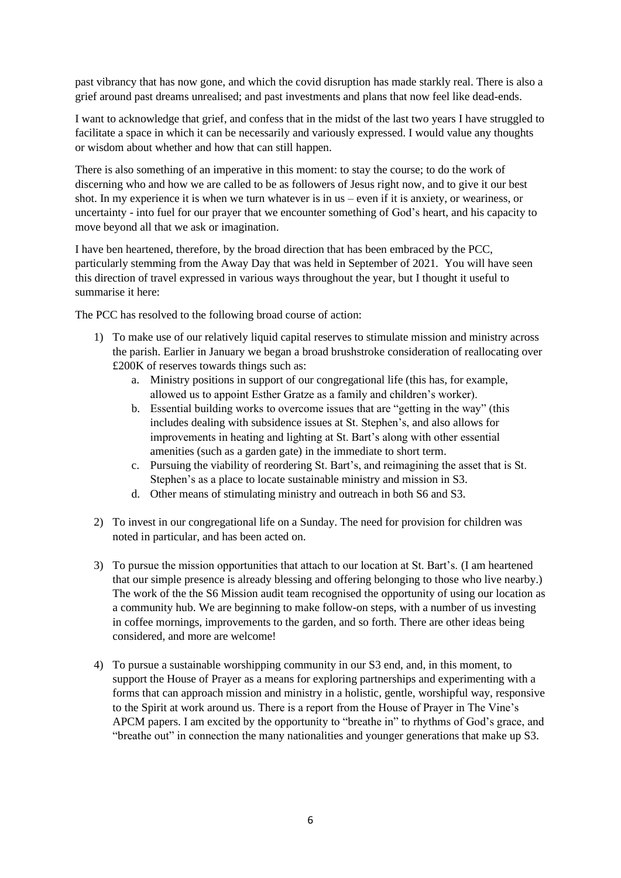past vibrancy that has now gone, and which the covid disruption has made starkly real. There is also a grief around past dreams unrealised; and past investments and plans that now feel like dead-ends.

I want to acknowledge that grief, and confess that in the midst of the last two years I have struggled to facilitate a space in which it can be necessarily and variously expressed. I would value any thoughts or wisdom about whether and how that can still happen.

There is also something of an imperative in this moment: to stay the course; to do the work of discerning who and how we are called to be as followers of Jesus right now, and to give it our best shot. In my experience it is when we turn whatever is in us – even if it is anxiety, or weariness, or uncertainty - into fuel for our prayer that we encounter something of God's heart, and his capacity to move beyond all that we ask or imagination.

I have ben heartened, therefore, by the broad direction that has been embraced by the PCC, particularly stemming from the Away Day that was held in September of 2021. You will have seen this direction of travel expressed in various ways throughout the year, but I thought it useful to summarise it here:

The PCC has resolved to the following broad course of action:

- 1) To make use of our relatively liquid capital reserves to stimulate mission and ministry across the parish. Earlier in January we began a broad brushstroke consideration of reallocating over £200K of reserves towards things such as:
	- a. Ministry positions in support of our congregational life (this has, for example, allowed us to appoint Esther Gratze as a family and children's worker).
	- b. Essential building works to overcome issues that are "getting in the way" (this includes dealing with subsidence issues at St. Stephen's, and also allows for improvements in heating and lighting at St. Bart's along with other essential amenities (such as a garden gate) in the immediate to short term.
	- c. Pursuing the viability of reordering St. Bart's, and reimagining the asset that is St. Stephen's as a place to locate sustainable ministry and mission in S3.
	- d. Other means of stimulating ministry and outreach in both S6 and S3.
- 2) To invest in our congregational life on a Sunday. The need for provision for children was noted in particular, and has been acted on.
- 3) To pursue the mission opportunities that attach to our location at St. Bart's. (I am heartened that our simple presence is already blessing and offering belonging to those who live nearby.) The work of the the S6 Mission audit team recognised the opportunity of using our location as a community hub. We are beginning to make follow-on steps, with a number of us investing in coffee mornings, improvements to the garden, and so forth. There are other ideas being considered, and more are welcome!
- 4) To pursue a sustainable worshipping community in our S3 end, and, in this moment, to support the House of Prayer as a means for exploring partnerships and experimenting with a forms that can approach mission and ministry in a holistic, gentle, worshipful way, responsive to the Spirit at work around us. There is a report from the House of Prayer in The Vine's APCM papers. I am excited by the opportunity to "breathe in" to rhythms of God's grace, and "breathe out" in connection the many nationalities and younger generations that make up S3.